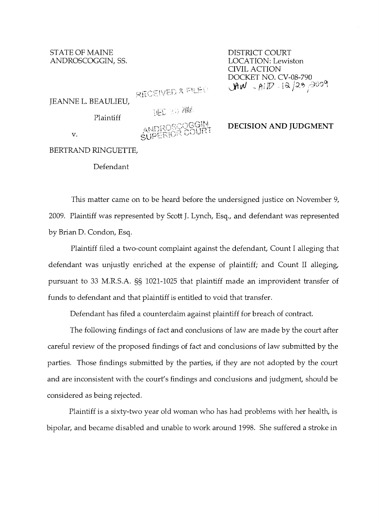STATE OF MAINE DISTRICT COURT ANDROSCOGGIN, SS.

CIVIL ACTION DOCKET NO. CV-08-790 JAW - AND - 12/23, 2009

RECEIVED & FILED

| JEANNE L. BEAULIEU, |  |
|---------------------|--|
|                     |  |

THE 23 AND

Plaintiff

ANDROSSOGGIN

## **DECISION AND JUDGMENT**

BERTRAND RINGUETTE,

v.

Defendant

This matter came on to be heard before the undersigned justice on November 9, 2009. Plaintiff was represented by Scott J. Lynch, Esq., and defendant was represented by Brian D. Condon, Esq.

Plaintiff filed a two-count complaint against the defendant, Count I alleging that defendant was unjustly enriched at the expense of plaintiff; and Count II alleging, pursuant to 33 M.R.S.A. §§ 1021-1025 that plaintiff made an improvident transfer of funds to defendant and that plaintiff is entitled to void that transfer.

Defendant has filed a counterclaim against plaintiff for breach of contract.

The following findings of fact and conclusions of law are made by the court after careful review of the proposed findings of fact and conclusions of law submitted by the parties. Those findings submitted by the parties, if they are not adopted by the court and are inconsistent with the court's findings and conclusions and judgment, should be considered as being rejected.

Plaintiff is a sixty-two year old woman who has had problems with her health, is bipolar, and became disabled and unable to work around 1998. She suffered a stroke in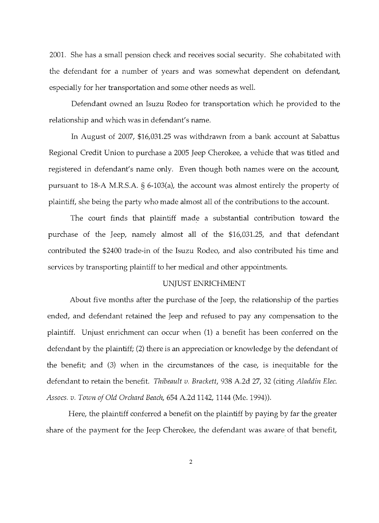2001. She has a small pension check and receives social security. She cohabitated with the defendant for a number of years and was somewhat dependent on defendant, especially for her transportation and some other needs as well.

Defendant owned an Isuzu Rodeo for transportation which he provided to the relationship and which was in defendant's name.

**In** August of 2007, \$16,031.25 was withdrawn from a bank account at Sabattus Regional Credit Union to purchase a 2005 Jeep Cherokee, a vehicle that was titled and registered in defendant's name only. Even though both names were on the account, pursuant to 18-A M.R.S.A. § 6-103(a), the account was almost entirely the property of plaintiff, she being the party who made almost all of the contributions to the account.

The court finds that plaintiff made a substantial contribution toward the purchase of the Jeep, namely almost all of the \$16,031.25, and that defendant contributed the \$2400 trade-in of the Isuzu Rodeo, and also contributed his time and services by transporting plaintiff to her medical and other appointments.

## UNJUST ENRICHMENT

About five months after the purchase of the Jeep, the relationship of the parties ended, and defendant retained the Jeep and refused to pay any compensation to the plaintiff. Unjust enrichment can occur when (1) a benefit has been conferred on the defendant by the plaintiff; (2) there is an appreciation or knowledge by the defendant of the benefit; and (3) when in the circumstances of the case, is inequitable for the defendant to retain the benefit. *Thibeault v. Brackett,* 938 A.2d 27, 32 (citing *Aladdin Elec. Assocs. v. Town of Old Orchard Beach,* 654 A.2d 1142, 1144 (Me. 1994)).

Here, the plaintiff conferred a benefit on the plaintiff by paying by far the greater share of the payment for the Jeep Cherokee, the defendant was aware of that benefit,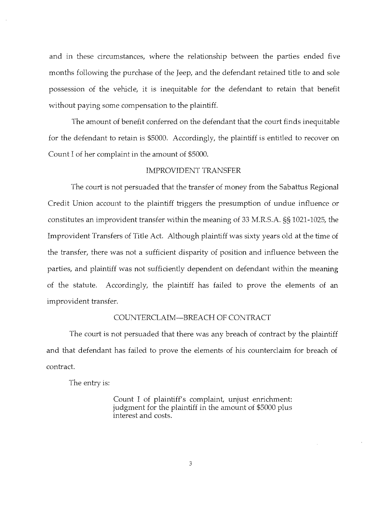and in these circumstances, where the relationship between the parties ended five months following the purchase of the Jeep, and the defendant retained title to and sole possession of the vehicle, it is inequitable for the defendant to retain that benefit without paying some compensation to the plaintiff.

The amount of benefit conferred on the defendant that the court finds inequitable for the defendant to retain is \$5000. Accordingly, the plaintiff is entitled to recover on Count I of her complaint in the amount of \$5000.

## IMPROVIDENT TRANSFER

The court is not persuaded that the transfer of money from the Sabattus Regional Credit Union account to the plaintiff triggers the presumption of undue influence or constitutes an improvident transfer within the meaning of 33 M.R.S.A. §§ 1021-1025, the Improvident Transfers of Title Act. Although plaintiff was sixty years old at the time of the transfer, there was not a sufficient disparity of position and influence between the parties, and plaintiff was not sufficiently dependent on defendant within the meaning of the statute. Accordingly, the plaintiff has failed to prove the elements of an improvident transfer.

## COUNTERCLAIM-BREACH OF CONTRACT

The court is not persuaded that there was any breach of contract by the plaintiff and that defendant has failed to prove the elements of his counterclaim for breach of contract.

The entry is:

Count I of plaintiff's complaint, unjust enrichment: judgment for the plaintiff in the amount of \$5000 plus interest and costs.

3